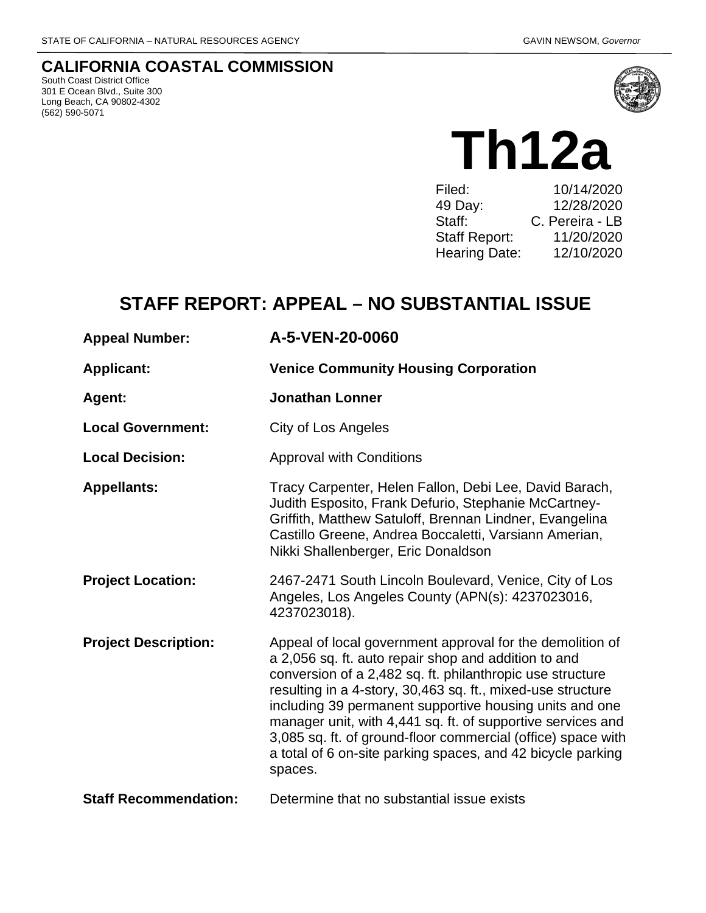## **CALIFORNIA COASTAL COMMISSION**

South Coast District Office 301 E Ocean Blvd., Suite 300 Long Beach, CA 90802-4302 (562) 590-5071



# **Th12a**

Filed: 10/14/2020 49 Day: 12/28/2020<br>Staff: C. Pereira - LB C. Pereira - LB Staff Report: 11/20/2020 Hearing Date: 12/10/2020

# **STAFF REPORT: APPEAL – NO SUBSTANTIAL ISSUE**

| <b>Appeal Number:</b>        | A-5-VEN-20-0060                                                                                                                                                                                                                                                                                                                                                                                                                                                                                                   |
|------------------------------|-------------------------------------------------------------------------------------------------------------------------------------------------------------------------------------------------------------------------------------------------------------------------------------------------------------------------------------------------------------------------------------------------------------------------------------------------------------------------------------------------------------------|
| <b>Applicant:</b>            | <b>Venice Community Housing Corporation</b>                                                                                                                                                                                                                                                                                                                                                                                                                                                                       |
| Agent:                       | <b>Jonathan Lonner</b>                                                                                                                                                                                                                                                                                                                                                                                                                                                                                            |
| <b>Local Government:</b>     | City of Los Angeles                                                                                                                                                                                                                                                                                                                                                                                                                                                                                               |
| <b>Local Decision:</b>       | <b>Approval with Conditions</b>                                                                                                                                                                                                                                                                                                                                                                                                                                                                                   |
| <b>Appellants:</b>           | Tracy Carpenter, Helen Fallon, Debi Lee, David Barach,<br>Judith Esposito, Frank Defurio, Stephanie McCartney-<br>Griffith, Matthew Satuloff, Brennan Lindner, Evangelina<br>Castillo Greene, Andrea Boccaletti, Varsiann Amerian,<br>Nikki Shallenberger, Eric Donaldson                                                                                                                                                                                                                                         |
| <b>Project Location:</b>     | 2467-2471 South Lincoln Boulevard, Venice, City of Los<br>Angeles, Los Angeles County (APN(s): 4237023016,<br>4237023018).                                                                                                                                                                                                                                                                                                                                                                                        |
| <b>Project Description:</b>  | Appeal of local government approval for the demolition of<br>a 2,056 sq. ft. auto repair shop and addition to and<br>conversion of a 2,482 sq. ft. philanthropic use structure<br>resulting in a 4-story, 30,463 sq. ft., mixed-use structure<br>including 39 permanent supportive housing units and one<br>manager unit, with 4,441 sq. ft. of supportive services and<br>3,085 sq. ft. of ground-floor commercial (office) space with<br>a total of 6 on-site parking spaces, and 42 bicycle parking<br>spaces. |
| <b>Staff Recommendation:</b> | Determine that no substantial issue exists                                                                                                                                                                                                                                                                                                                                                                                                                                                                        |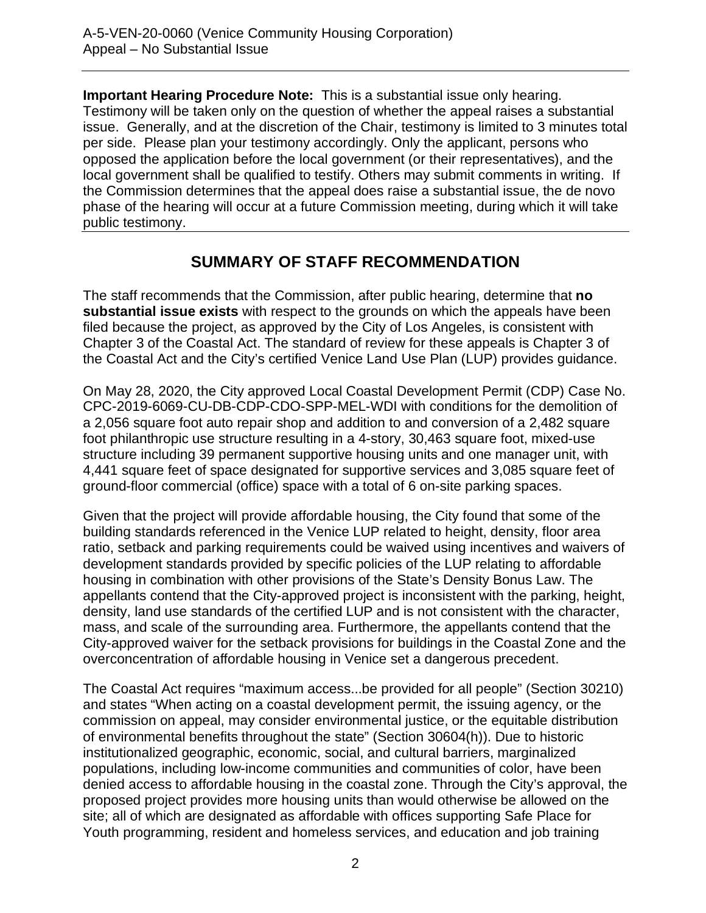**Important Hearing Procedure Note:** This is a substantial issue only hearing. Testimony will be taken only on the question of whether the appeal raises a substantial issue. Generally, and at the discretion of the Chair, testimony is limited to 3 minutes total per side. Please plan your testimony accordingly. Only the applicant, persons who opposed the application before the local government (or their representatives), and the local government shall be qualified to testify. Others may submit comments in writing. If the Commission determines that the appeal does raise a substantial issue, the de novo phase of the hearing will occur at a future Commission meeting, during which it will take public testimony.

## **SUMMARY OF STAFF RECOMMENDATION**

The staff recommends that the Commission, after public hearing, determine that **no substantial issue exists** with respect to the grounds on which the appeals have been filed because the project, as approved by the City of Los Angeles, is consistent with Chapter 3 of the Coastal Act. The standard of review for these appeals is Chapter 3 of the Coastal Act and the City's certified Venice Land Use Plan (LUP) provides guidance.

On May 28, 2020, the City approved Local Coastal Development Permit (CDP) Case No. CPC-2019-6069-CU-DB-CDP-CDO-SPP-MEL-WDI with conditions for the demolition of a 2,056 square foot auto repair shop and addition to and conversion of a 2,482 square foot philanthropic use structure resulting in a 4-story, 30,463 square foot, mixed-use structure including 39 permanent supportive housing units and one manager unit, with 4,441 square feet of space designated for supportive services and 3,085 square feet of ground-floor commercial (office) space with a total of 6 on-site parking spaces.

Given that the project will provide affordable housing, the City found that some of the building standards referenced in the Venice LUP related to height, density, floor area ratio, setback and parking requirements could be waived using incentives and waivers of development standards provided by specific policies of the LUP relating to affordable housing in combination with other provisions of the State's Density Bonus Law. The appellants contend that the City-approved project is inconsistent with the parking, height, density, land use standards of the certified LUP and is not consistent with the character, mass, and scale of the surrounding area. Furthermore, the appellants contend that the City-approved waiver for the setback provisions for buildings in the Coastal Zone and the overconcentration of affordable housing in Venice set a dangerous precedent.

The Coastal Act requires "maximum access...be provided for all people" (Section 30210) and states "When acting on a coastal development permit, the issuing agency, or the commission on appeal, may consider environmental justice, or the equitable distribution of environmental benefits throughout the state" (Section 30604(h)). Due to historic institutionalized geographic, economic, social, and cultural barriers, marginalized populations, including low-income communities and communities of color, have been denied access to affordable housing in the coastal zone. Through the City's approval, the proposed project provides more housing units than would otherwise be allowed on the site; all of which are designated as affordable with offices supporting Safe Place for Youth programming, resident and homeless services, and education and job training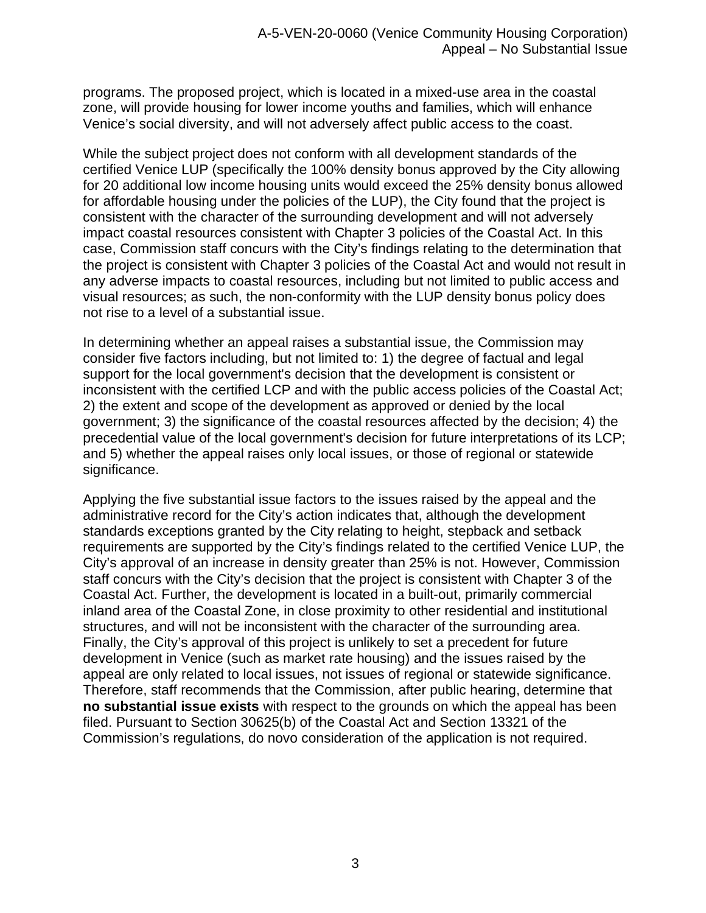programs. The proposed project, which is located in a mixed-use area in the coastal zone, will provide housing for lower income youths and families, which will enhance Venice's social diversity, and will not adversely affect public access to the coast.

While the subject project does not conform with all development standards of the certified Venice LUP (specifically the 100% density bonus approved by the City allowing for 20 additional low income housing units would exceed the 25% density bonus allowed for affordable housing under the policies of the LUP), the City found that the project is consistent with the character of the surrounding development and will not adversely impact coastal resources consistent with Chapter 3 policies of the Coastal Act. In this case, Commission staff concurs with the City's findings relating to the determination that the project is consistent with Chapter 3 policies of the Coastal Act and would not result in any adverse impacts to coastal resources, including but not limited to public access and visual resources; as such, the non-conformity with the LUP density bonus policy does not rise to a level of a substantial issue.

In determining whether an appeal raises a substantial issue, the Commission may consider five factors including, but not limited to: 1) the degree of factual and legal support for the local government's decision that the development is consistent or inconsistent with the certified LCP and with the public access policies of the Coastal Act; 2) the extent and scope of the development as approved or denied by the local government; 3) the significance of the coastal resources affected by the decision; 4) the precedential value of the local government's decision for future interpretations of its LCP; and 5) whether the appeal raises only local issues, or those of regional or statewide significance.

Applying the five substantial issue factors to the issues raised by the appeal and the administrative record for the City's action indicates that, although the development standards exceptions granted by the City relating to height, stepback and setback requirements are supported by the City's findings related to the certified Venice LUP, the City's approval of an increase in density greater than 25% is not. However, Commission staff concurs with the City's decision that the project is consistent with Chapter 3 of the Coastal Act. Further, the development is located in a built-out, primarily commercial inland area of the Coastal Zone, in close proximity to other residential and institutional structures, and will not be inconsistent with the character of the surrounding area. Finally, the City's approval of this project is unlikely to set a precedent for future development in Venice (such as market rate housing) and the issues raised by the appeal are only related to local issues, not issues of regional or statewide significance. Therefore, staff recommends that the Commission, after public hearing, determine that **no substantial issue exists** with respect to the grounds on which the appeal has been filed. Pursuant to Section 30625(b) of the Coastal Act and Section 13321 of the Commission's regulations, do novo consideration of the application is not required.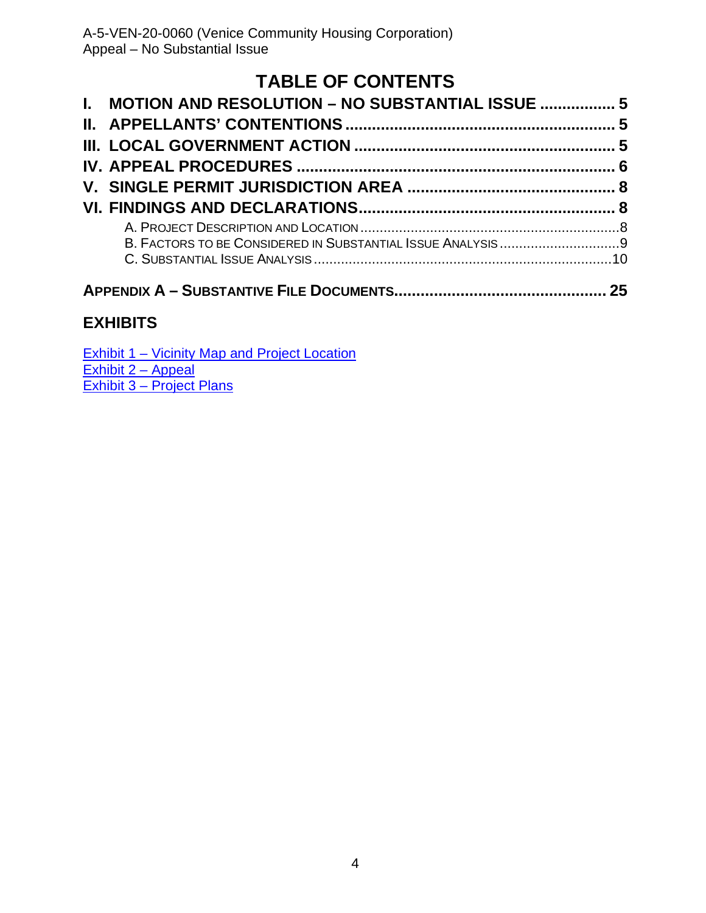# **TABLE OF CONTENTS**

| I. MOTION AND RESOLUTION - NO SUBSTANTIAL ISSUE  5 |  |  |
|----------------------------------------------------|--|--|
|                                                    |  |  |
|                                                    |  |  |
|                                                    |  |  |
|                                                    |  |  |
|                                                    |  |  |
|                                                    |  |  |
|                                                    |  |  |
|                                                    |  |  |
|                                                    |  |  |

## **[EXHIBITS](https://documents.coastal.ca.gov/reports/2020/8/_____/___-8-2020-exhibits.pdf)**

|                           | Exhibit 1 – Vicinity Map and Project Location |
|---------------------------|-----------------------------------------------|
| Exhibit 2 – Appeal        |                                               |
| Exhibit 3 – Project Plans |                                               |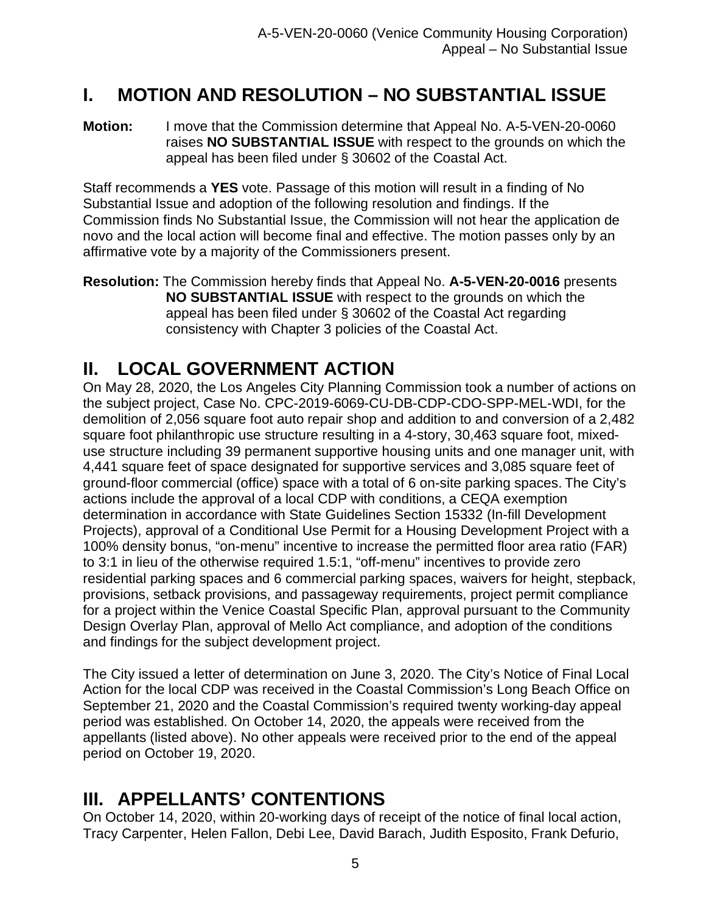# <span id="page-4-0"></span>**I. MOTION AND RESOLUTION – NO SUBSTANTIAL ISSUE**

**Motion:** I move that the Commission determine that Appeal No. A-5-VEN-20-0060 raises **NO SUBSTANTIAL ISSUE** with respect to the grounds on which the appeal has been filed under § 30602 of the Coastal Act.

Staff recommends a **YES** vote. Passage of this motion will result in a finding of No Substantial Issue and adoption of the following resolution and findings. If the Commission finds No Substantial Issue, the Commission will not hear the application de novo and the local action will become final and effective. The motion passes only by an affirmative vote by a majority of the Commissioners present.

**Resolution:** The Commission hereby finds that Appeal No. **A-5-VEN-20-0016** presents **NO SUBSTANTIAL ISSUE** with respect to the grounds on which the appeal has been filed under § 30602 of the Coastal Act regarding consistency with Chapter 3 policies of the Coastal Act.

# <span id="page-4-1"></span>**II. LOCAL GOVERNMENT ACTION**

On May 28, 2020, the Los Angeles City Planning Commission took a number of actions on the subject project, Case No. CPC-2019-6069-CU-DB-CDP-CDO-SPP-MEL-WDI, for the demolition of 2,056 square foot auto repair shop and addition to and conversion of a 2,482 square foot philanthropic use structure resulting in a 4-story, 30,463 square foot, mixeduse structure including 39 permanent supportive housing units and one manager unit, with 4,441 square feet of space designated for supportive services and 3,085 square feet of ground-floor commercial (office) space with a total of 6 on-site parking spaces. The City's actions include the approval of a local CDP with conditions, a CEQA exemption determination in accordance with State Guidelines Section 15332 (In-fill Development Projects), approval of a Conditional Use Permit for a Housing Development Project with a 100% density bonus, "on-menu" incentive to increase the permitted floor area ratio (FAR) to 3:1 in lieu of the otherwise required 1.5:1, "off-menu" incentives to provide zero residential parking spaces and 6 commercial parking spaces, waivers for height, stepback, provisions, setback provisions, and passageway requirements, project permit compliance for a project within the Venice Coastal Specific Plan, approval pursuant to the Community Design Overlay Plan, approval of Mello Act compliance, and adoption of the conditions and findings for the subject development project.

The City issued a letter of determination on June 3, 2020. The City's Notice of Final Local Action for the local CDP was received in the Coastal Commission's Long Beach Office on September 21, 2020 and the Coastal Commission's required twenty working-day appeal period was established. On October 14, 2020, the appeals were received from the appellants (listed above). No other appeals were received prior to the end of the appeal period on October 19, 2020.

# <span id="page-4-2"></span>**III. APPELLANTS' CONTENTIONS**

On October 14, 2020, within 20-working days of receipt of the notice of final local action, Tracy Carpenter, Helen Fallon, Debi Lee, David Barach, Judith Esposito, Frank Defurio,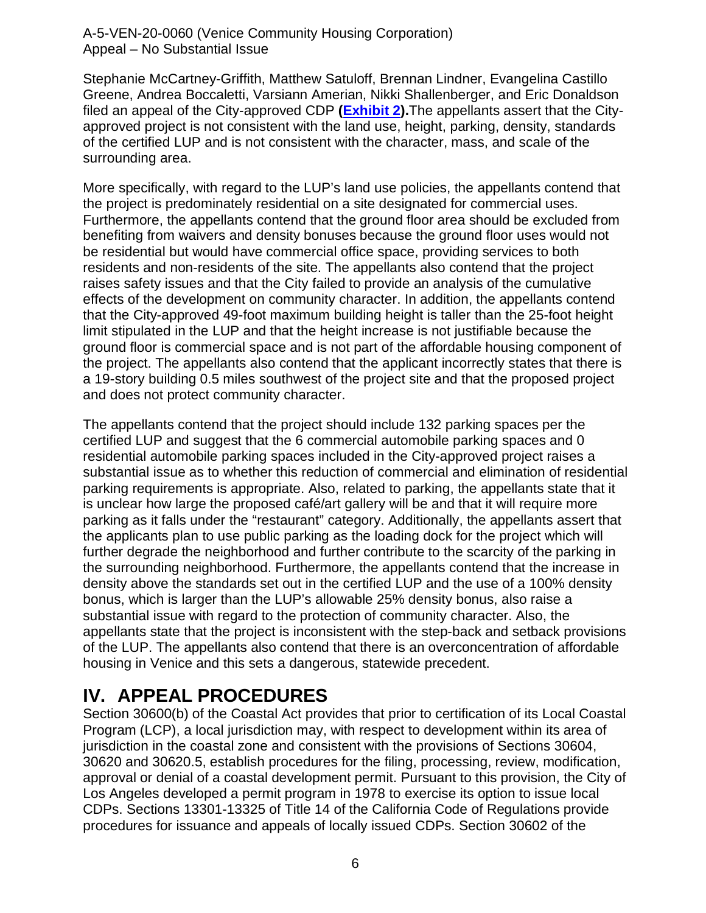Stephanie McCartney-Griffith, Matthew Satuloff, Brennan Lindner, Evangelina Castillo Greene, Andrea Boccaletti, Varsiann Amerian, Nikki Shallenberger, and Eric Donaldson filed an appeal of the City-approved CDP **[\(Exhibit 2\)](https://documents.coastal.ca.gov/reports/2020/12/th12a/th12a-12-2020-exhibits.pdf).**The appellants assert that the Cityapproved project is not consistent with the land use, height, parking, density, standards of the certified LUP and is not consistent with the character, mass, and scale of the surrounding area.

More specifically, with regard to the LUP's land use policies, the appellants contend that the project is predominately residential on a site designated for commercial uses. Furthermore, the appellants contend that the ground floor area should be excluded from benefiting from waivers and density bonuses because the ground floor uses would not be residential but would have commercial office space, providing services to both residents and non-residents of the site. The appellants also contend that the project raises safety issues and that the City failed to provide an analysis of the cumulative effects of the development on community character. In addition, the appellants contend that the City-approved 49-foot maximum building height is taller than the 25-foot height limit stipulated in the LUP and that the height increase is not justifiable because the ground floor is commercial space and is not part of the affordable housing component of the project. The appellants also contend that the applicant incorrectly states that there is a 19-story building 0.5 miles southwest of the project site and that the proposed project and does not protect community character.

The appellants contend that the project should include 132 parking spaces per the certified LUP and suggest that the 6 commercial automobile parking spaces and 0 residential automobile parking spaces included in the City-approved project raises a substantial issue as to whether this reduction of commercial and elimination of residential parking requirements is appropriate. Also, related to parking, the appellants state that it is unclear how large the proposed café/art gallery will be and that it will require more parking as it falls under the "restaurant" category. Additionally, the appellants assert that the applicants plan to use public parking as the loading dock for the project which will further degrade the neighborhood and further contribute to the scarcity of the parking in the surrounding neighborhood. Furthermore, the appellants contend that the increase in density above the standards set out in the certified LUP and the use of a 100% density bonus, which is larger than the LUP's allowable 25% density bonus, also raise a substantial issue with regard to the protection of community character. Also, the appellants state that the project is inconsistent with the step-back and setback provisions of the LUP. The appellants also contend that there is an overconcentration of affordable housing in Venice and this sets a dangerous, statewide precedent.

# <span id="page-5-0"></span>**IV. APPEAL PROCEDURES**

Section 30600(b) of the Coastal Act provides that prior to certification of its Local Coastal Program (LCP), a local jurisdiction may, with respect to development within its area of jurisdiction in the coastal zone and consistent with the provisions of Sections 30604, 30620 and 30620.5, establish procedures for the filing, processing, review, modification, approval or denial of a coastal development permit. Pursuant to this provision, the City of Los Angeles developed a permit program in 1978 to exercise its option to issue local CDPs. Sections 13301-13325 of Title 14 of the California Code of Regulations provide procedures for issuance and appeals of locally issued CDPs. Section 30602 of the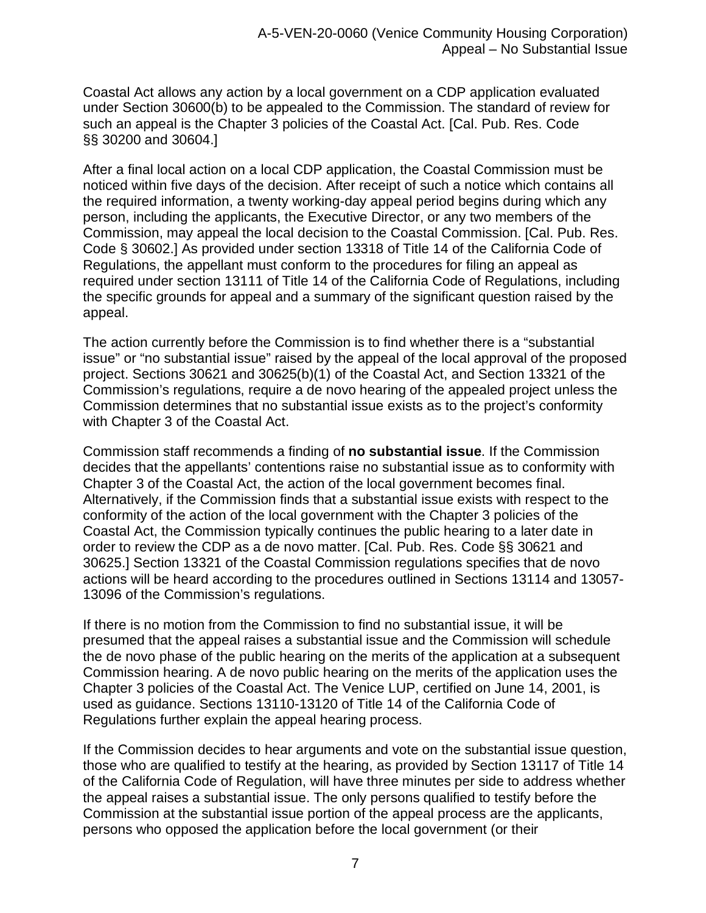Coastal Act allows any action by a local government on a CDP application evaluated under Section 30600(b) to be appealed to the Commission. The standard of review for such an appeal is the Chapter 3 policies of the Coastal Act. [Cal. Pub. Res. Code §§ 30200 and 30604.]

After a final local action on a local CDP application, the Coastal Commission must be noticed within five days of the decision. After receipt of such a notice which contains all the required information, a twenty working-day appeal period begins during which any person, including the applicants, the Executive Director, or any two members of the Commission, may appeal the local decision to the Coastal Commission. [Cal. Pub. Res. Code § 30602.] As provided under section 13318 of Title 14 of the California Code of Regulations, the appellant must conform to the procedures for filing an appeal as required under section 13111 of Title 14 of the California Code of Regulations, including the specific grounds for appeal and a summary of the significant question raised by the appeal.

The action currently before the Commission is to find whether there is a "substantial issue" or "no substantial issue" raised by the appeal of the local approval of the proposed project. Sections 30621 and 30625(b)(1) of the Coastal Act, and Section 13321 of the Commission's regulations, require a de novo hearing of the appealed project unless the Commission determines that no substantial issue exists as to the project's conformity with Chapter 3 of the Coastal Act.

Commission staff recommends a finding of **no substantial issue**. If the Commission decides that the appellants' contentions raise no substantial issue as to conformity with Chapter 3 of the Coastal Act, the action of the local government becomes final. Alternatively, if the Commission finds that a substantial issue exists with respect to the conformity of the action of the local government with the Chapter 3 policies of the Coastal Act, the Commission typically continues the public hearing to a later date in order to review the CDP as a de novo matter. [Cal. Pub. Res. Code §§ 30621 and 30625.] Section 13321 of the Coastal Commission regulations specifies that de novo actions will be heard according to the procedures outlined in Sections 13114 and 13057- 13096 of the Commission's regulations.

If there is no motion from the Commission to find no substantial issue, it will be presumed that the appeal raises a substantial issue and the Commission will schedule the de novo phase of the public hearing on the merits of the application at a subsequent Commission hearing. A de novo public hearing on the merits of the application uses the Chapter 3 policies of the Coastal Act. The Venice LUP, certified on June 14, 2001, is used as guidance. Sections 13110-13120 of Title 14 of the California Code of Regulations further explain the appeal hearing process.

If the Commission decides to hear arguments and vote on the substantial issue question, those who are qualified to testify at the hearing, as provided by Section 13117 of Title 14 of the California Code of Regulation, will have three minutes per side to address whether the appeal raises a substantial issue. The only persons qualified to testify before the Commission at the substantial issue portion of the appeal process are the applicants, persons who opposed the application before the local government (or their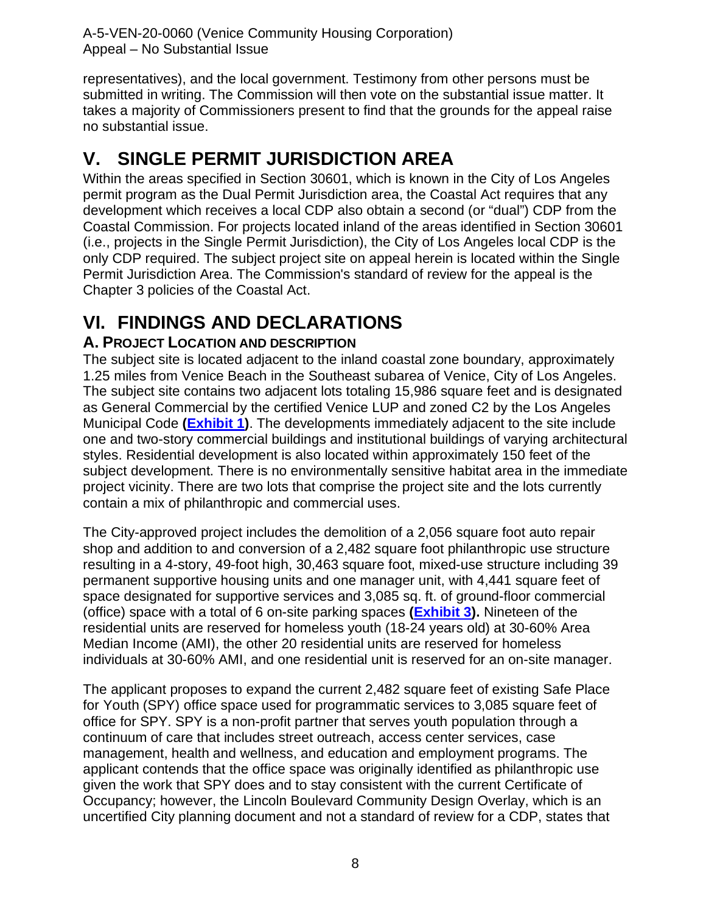representatives), and the local government. Testimony from other persons must be submitted in writing. The Commission will then vote on the substantial issue matter. It takes a majority of Commissioners present to find that the grounds for the appeal raise no substantial issue.

# <span id="page-7-0"></span>**V. SINGLE PERMIT JURISDICTION AREA**

Within the areas specified in Section 30601, which is known in the City of Los Angeles permit program as the Dual Permit Jurisdiction area, the Coastal Act requires that any development which receives a local CDP also obtain a second (or "dual") CDP from the Coastal Commission. For projects located inland of the areas identified in Section 30601 (i.e., projects in the Single Permit Jurisdiction), the City of Los Angeles local CDP is the only CDP required. The subject project site on appeal herein is located within the Single Permit Jurisdiction Area. The Commission's standard of review for the appeal is the Chapter 3 policies of the Coastal Act.

# <span id="page-7-1"></span>**VI. FINDINGS AND DECLARATIONS**

## <span id="page-7-2"></span>**A. PROJECT LOCATION AND DESCRIPTION**

The subject site is located adjacent to the inland coastal zone boundary, approximately 1.25 miles from Venice Beach in the Southeast subarea of Venice, City of Los Angeles. The subject site contains two adjacent lots totaling 15,986 square feet and is designated as General Commercial by the certified Venice LUP and zoned C2 by the Los Angeles Municipal Code **[\(Exhibit 1\)](https://documents.coastal.ca.gov/reports/2020/12/th12a/th12a-12-2020-exhibits.pdf)**. The developments immediately adjacent to the site include one and two-story commercial buildings and institutional buildings of varying architectural styles. Residential development is also located within approximately 150 feet of the subject development. There is no environmentally sensitive habitat area in the immediate project vicinity. There are two lots that comprise the project site and the lots currently contain a mix of philanthropic and commercial uses.

The City-approved project includes the demolition of a 2,056 square foot auto repair shop and addition to and conversion of a 2,482 square foot philanthropic use structure resulting in a 4-story, 49-foot high, 30,463 square foot, mixed-use structure including 39 permanent supportive housing units and one manager unit, with 4,441 square feet of space designated for supportive services and 3,085 sq. ft. of ground-floor commercial (office) space with a total of 6 on-site parking spaces **[\(Exhibit 3\)](https://documents.coastal.ca.gov/reports/2020/12/th12a/th12a-12-2020-exhibits.pdf).** Nineteen of the residential units are reserved for homeless youth (18-24 years old) at 30-60% Area Median Income (AMI), the other 20 residential units are reserved for homeless individuals at 30-60% AMI, and one residential unit is reserved for an on-site manager.

The applicant proposes to expand the current 2,482 square feet of existing Safe Place for Youth (SPY) office space used for programmatic services to 3,085 square feet of office for SPY. SPY is a non-profit partner that serves youth population through a continuum of care that includes street outreach, access center services, case management, health and wellness, and education and employment programs. The applicant contends that the office space was originally identified as philanthropic use given the work that SPY does and to stay consistent with the current Certificate of Occupancy; however, the Lincoln Boulevard Community Design Overlay, which is an uncertified City planning document and not a standard of review for a CDP, states that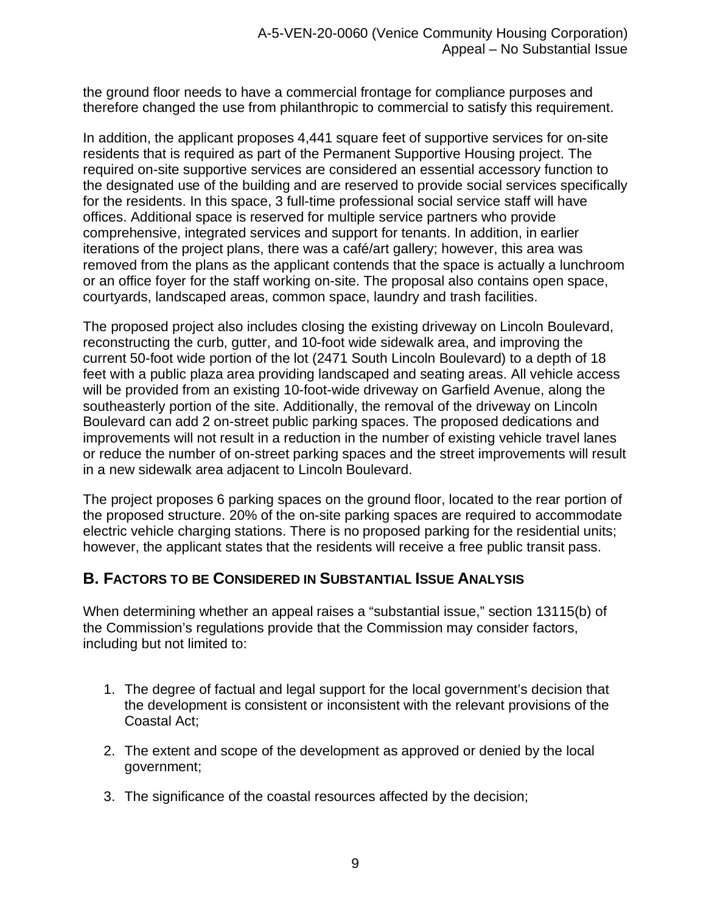the ground floor needs to have a commercial frontage for compliance purposes and therefore changed the use from philanthropic to commercial to satisfy this requirement.

In addition, the applicant proposes 4,441 square feet of supportive services for on-site residents that is required as part of the Permanent Supportive Housing project. The required on-site supportive services are considered an essential accessory function to the designated use of the building and are reserved to provide social services specifically for the residents. In this space, 3 full-time professional social service staff will have offices. Additional space is reserved for multiple service partners who provide comprehensive, integrated services and support for tenants. In addition, in earlier iterations of the project plans, there was a café/art gallery; however, this area was removed from the plans as the applicant contends that the space is actually a lunchroom or an office foyer for the staff working on-site. The proposal also contains open space, courtyards, landscaped areas, common space, laundry and trash facilities.

The proposed project also includes closing the existing driveway on Lincoln Boulevard, reconstructing the curb, gutter, and 10-foot wide sidewalk area, and improving the current 50-foot wide portion of the lot (2471 South Lincoln Boulevard) to a depth of 18 feet with a public plaza area providing landscaped and seating areas. All vehicle access will be provided from an existing 10-foot-wide driveway on Garfield Avenue, along the southeasterly portion of the site. Additionally, the removal of the driveway on Lincoln Boulevard can add 2 on-street public parking spaces. The proposed dedications and improvements will not result in a reduction in the number of existing vehicle travel lanes or reduce the number of on-street parking spaces and the street improvements will result in a new sidewalk area adjacent to Lincoln Boulevard.

The project proposes 6 parking spaces on the ground floor, located to the rear portion of the proposed structure. 20% of the on-site parking spaces are required to accommodate electric vehicle charging stations. There is no proposed parking for the residential units; however, the applicant states that the residents will receive a free public transit pass.

## <span id="page-8-0"></span>**B. FACTORS TO BE CONSIDERED IN SUBSTANTIAL ISSUE ANALYSIS**

When determining whether an appeal raises a "substantial issue," section 13115(b) of the Commission's regulations provide that the Commission may consider factors, including but not limited to:

- 1. The degree of factual and legal support for the local government's decision that the development is consistent or inconsistent with the relevant provisions of the Coastal Act;
- 2. The extent and scope of the development as approved or denied by the local government;
- 3. The significance of the coastal resources affected by the decision;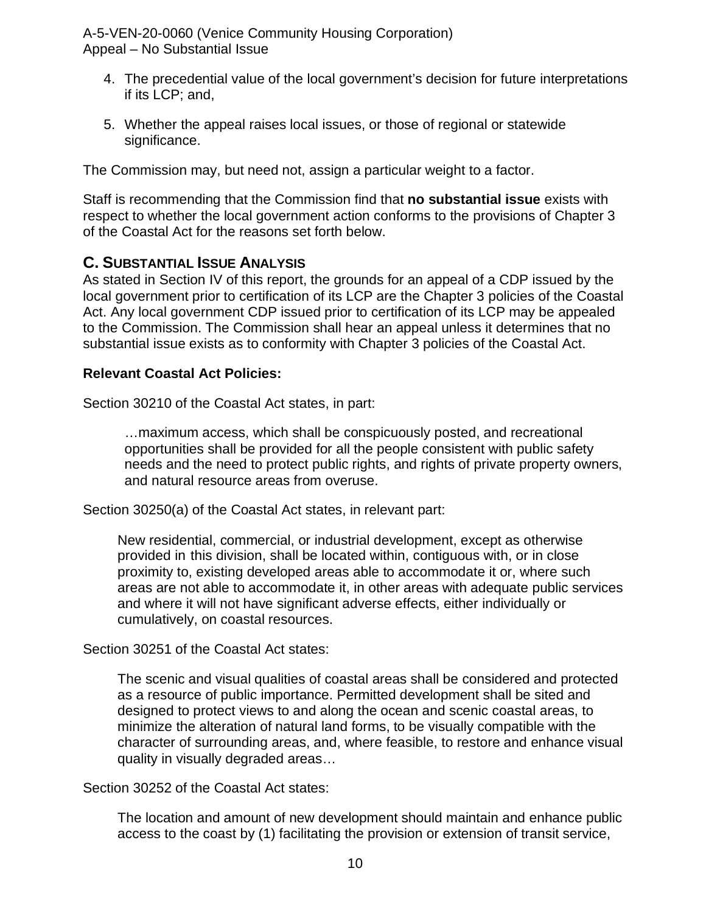- 4. The precedential value of the local government's decision for future interpretations if its LCP; and,
- 5. Whether the appeal raises local issues, or those of regional or statewide significance.

The Commission may, but need not, assign a particular weight to a factor.

Staff is recommending that the Commission find that **no substantial issue** exists with respect to whether the local government action conforms to the provisions of Chapter 3 of the Coastal Act for the reasons set forth below.

## <span id="page-9-0"></span>**C. SUBSTANTIAL ISSUE ANALYSIS**

As stated in Section IV of this report, the grounds for an appeal of a CDP issued by the local government prior to certification of its LCP are the Chapter 3 policies of the Coastal Act. Any local government CDP issued prior to certification of its LCP may be appealed to the Commission. The Commission shall hear an appeal unless it determines that no substantial issue exists as to conformity with Chapter 3 policies of the Coastal Act.

#### **Relevant Coastal Act Policies:**

Section 30210 of the Coastal Act states, in part:

…maximum access, which shall be conspicuously posted, and recreational opportunities shall be provided for all the people consistent with public safety needs and the need to protect public rights, and rights of private property owners, and natural resource areas from overuse.

Section 30250(a) of the Coastal Act states, in relevant part:

New residential, commercial, or industrial development, except as otherwise provided in this division, shall be located within, contiguous with, or in close proximity to, existing developed areas able to accommodate it or, where such areas are not able to accommodate it, in other areas with adequate public services and where it will not have significant adverse effects, either individually or cumulatively, on coastal resources.

Section 30251 of the Coastal Act states:

The scenic and visual qualities of coastal areas shall be considered and protected as a resource of public importance. Permitted development shall be sited and designed to protect views to and along the ocean and scenic coastal areas, to minimize the alteration of natural land forms, to be visually compatible with the character of surrounding areas, and, where feasible, to restore and enhance visual quality in visually degraded areas…

Section 30252 of the Coastal Act states:

The location and amount of new development should maintain and enhance public access to the coast by (1) facilitating the provision or extension of transit service,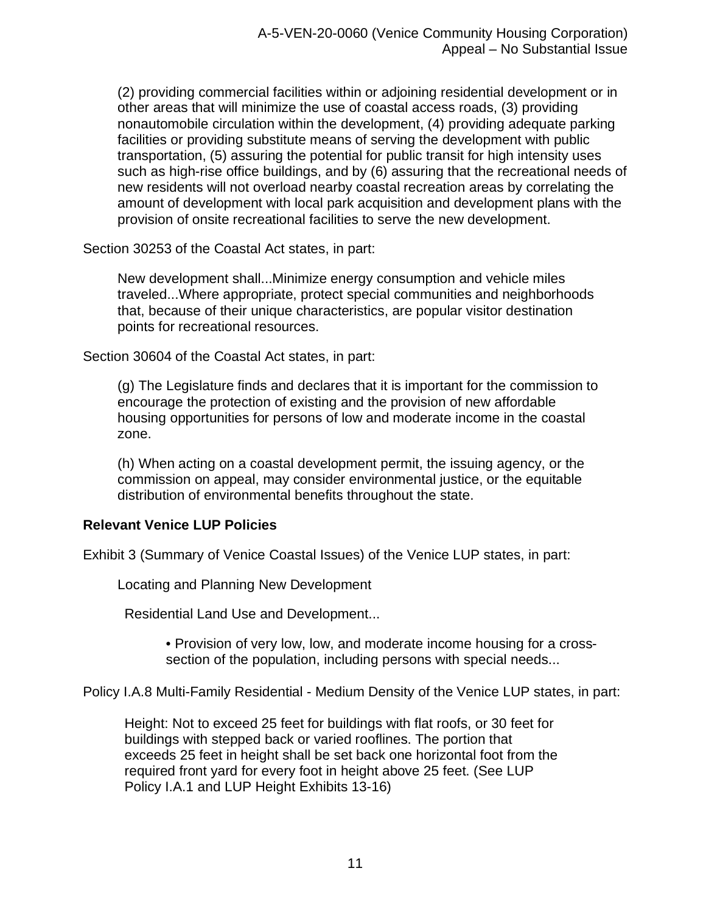(2) providing commercial facilities within or adjoining residential development or in other areas that will minimize the use of coastal access roads, (3) providing nonautomobile circulation within the development, (4) providing adequate parking facilities or providing substitute means of serving the development with public transportation, (5) assuring the potential for public transit for high intensity uses such as high-rise office buildings, and by (6) assuring that the recreational needs of new residents will not overload nearby coastal recreation areas by correlating the amount of development with local park acquisition and development plans with the provision of onsite recreational facilities to serve the new development.

Section 30253 of the Coastal Act states, in part:

New development shall...Minimize energy consumption and vehicle miles traveled...Where appropriate, protect special communities and neighborhoods that, because of their unique characteristics, are popular visitor destination points for recreational resources.

Section 30604 of the Coastal Act states, in part:

(g) The Legislature finds and declares that it is important for the commission to encourage the protection of existing and the provision of new affordable housing opportunities for persons of low and moderate income in the coastal zone.

(h) When acting on a coastal development permit, the issuing agency, or the commission on appeal, may consider environmental justice, or the equitable distribution of environmental benefits throughout the state.

#### **Relevant Venice LUP Policies**

Exhibit 3 (Summary of Venice Coastal Issues) of the Venice LUP states, in part:

Locating and Planning New Development

Residential Land Use and Development...

• Provision of very low, low, and moderate income housing for a crosssection of the population, including persons with special needs...

Policy I.A.8 Multi-Family Residential - Medium Density of the Venice LUP states, in part:

Height: Not to exceed 25 feet for buildings with flat roofs, or 30 feet for buildings with stepped back or varied rooflines. The portion that exceeds 25 feet in height shall be set back one horizontal foot from the required front yard for every foot in height above 25 feet. (See LUP Policy I.A.1 and LUP Height Exhibits 13-16)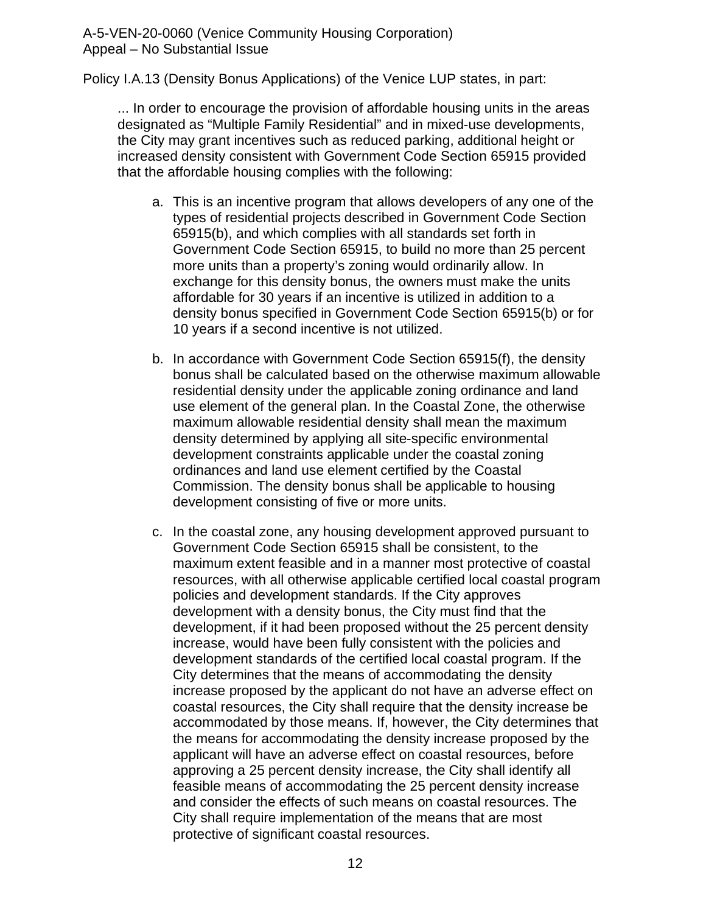Policy I.A.13 (Density Bonus Applications) of the Venice LUP states, in part:

... In order to encourage the provision of affordable housing units in the areas designated as "Multiple Family Residential" and in mixed-use developments, the City may grant incentives such as reduced parking, additional height or increased density consistent with Government Code Section 65915 provided that the affordable housing complies with the following:

- a. This is an incentive program that allows developers of any one of the types of residential projects described in Government Code Section 65915(b), and which complies with all standards set forth in Government Code Section 65915, to build no more than 25 percent more units than a property's zoning would ordinarily allow. In exchange for this density bonus, the owners must make the units affordable for 30 years if an incentive is utilized in addition to a density bonus specified in Government Code Section 65915(b) or for 10 years if a second incentive is not utilized.
- b. In accordance with Government Code Section 65915(f), the density bonus shall be calculated based on the otherwise maximum allowable residential density under the applicable zoning ordinance and land use element of the general plan. In the Coastal Zone, the otherwise maximum allowable residential density shall mean the maximum density determined by applying all site-specific environmental development constraints applicable under the coastal zoning ordinances and land use element certified by the Coastal Commission. The density bonus shall be applicable to housing development consisting of five or more units.
- c. In the coastal zone, any housing development approved pursuant to Government Code Section 65915 shall be consistent, to the maximum extent feasible and in a manner most protective of coastal resources, with all otherwise applicable certified local coastal program policies and development standards. If the City approves development with a density bonus, the City must find that the development, if it had been proposed without the 25 percent density increase, would have been fully consistent with the policies and development standards of the certified local coastal program. If the City determines that the means of accommodating the density increase proposed by the applicant do not have an adverse effect on coastal resources, the City shall require that the density increase be accommodated by those means. If, however, the City determines that the means for accommodating the density increase proposed by the applicant will have an adverse effect on coastal resources, before approving a 25 percent density increase, the City shall identify all feasible means of accommodating the 25 percent density increase and consider the effects of such means on coastal resources. The City shall require implementation of the means that are most protective of significant coastal resources.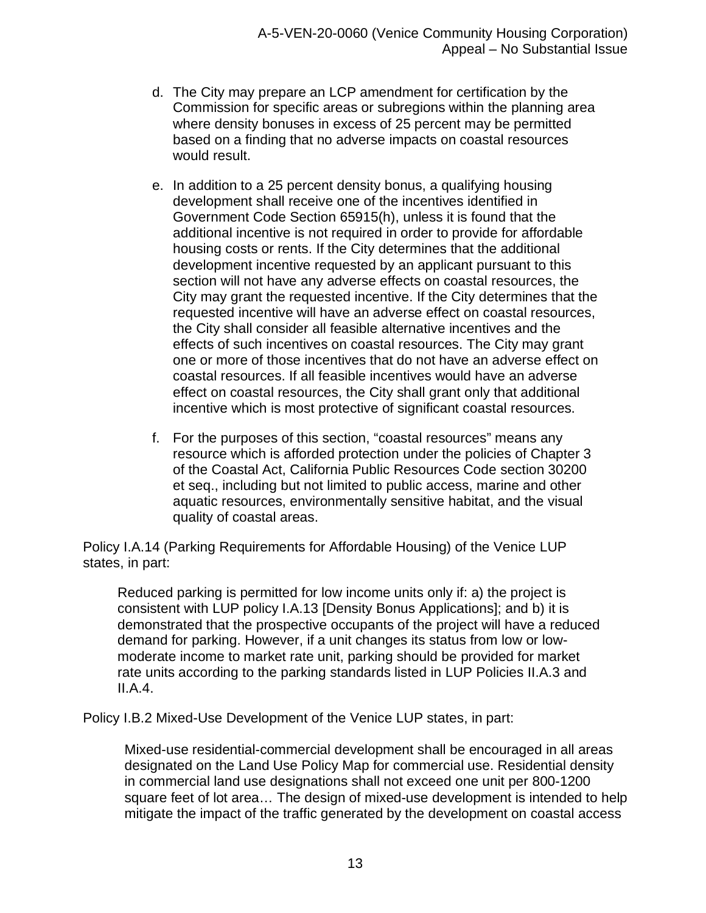- d. The City may prepare an LCP amendment for certification by the Commission for specific areas or subregions within the planning area where density bonuses in excess of 25 percent may be permitted based on a finding that no adverse impacts on coastal resources would result.
- e. In addition to a 25 percent density bonus, a qualifying housing development shall receive one of the incentives identified in Government Code Section 65915(h), unless it is found that the additional incentive is not required in order to provide for affordable housing costs or rents. If the City determines that the additional development incentive requested by an applicant pursuant to this section will not have any adverse effects on coastal resources, the City may grant the requested incentive. If the City determines that the requested incentive will have an adverse effect on coastal resources, the City shall consider all feasible alternative incentives and the effects of such incentives on coastal resources. The City may grant one or more of those incentives that do not have an adverse effect on coastal resources. If all feasible incentives would have an adverse effect on coastal resources, the City shall grant only that additional incentive which is most protective of significant coastal resources.
- f. For the purposes of this section, "coastal resources" means any resource which is afforded protection under the policies of Chapter 3 of the Coastal Act, California Public Resources Code section 30200 et seq., including but not limited to public access, marine and other aquatic resources, environmentally sensitive habitat, and the visual quality of coastal areas.

Policy I.A.14 (Parking Requirements for Affordable Housing) of the Venice LUP states, in part:

Reduced parking is permitted for low income units only if: a) the project is consistent with LUP policy I.A.13 [Density Bonus Applications]; and b) it is demonstrated that the prospective occupants of the project will have a reduced demand for parking. However, if a unit changes its status from low or lowmoderate income to market rate unit, parking should be provided for market rate units according to the parking standards listed in LUP Policies II.A.3 and II.A.4.

Policy I.B.2 Mixed-Use Development of the Venice LUP states, in part:

Mixed-use residential-commercial development shall be encouraged in all areas designated on the Land Use Policy Map for commercial use. Residential density in commercial land use designations shall not exceed one unit per 800-1200 square feet of lot area… The design of mixed-use development is intended to help mitigate the impact of the traffic generated by the development on coastal access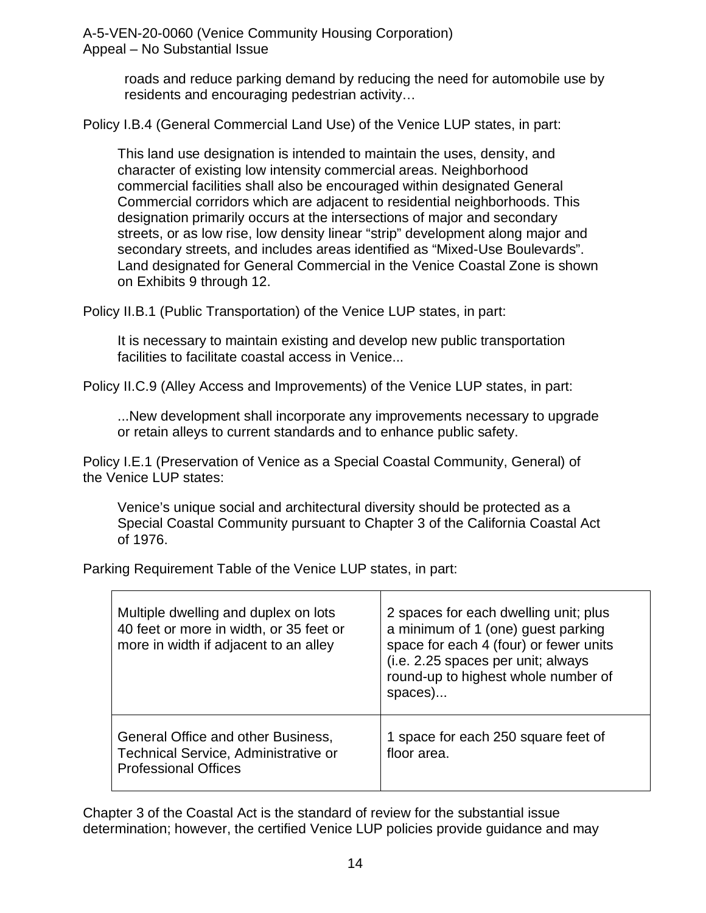> roads and reduce parking demand by reducing the need for automobile use by residents and encouraging pedestrian activity…

Policy I.B.4 (General Commercial Land Use) of the Venice LUP states, in part:

This land use designation is intended to maintain the uses, density, and character of existing low intensity commercial areas. Neighborhood commercial facilities shall also be encouraged within designated General Commercial corridors which are adjacent to residential neighborhoods. This designation primarily occurs at the intersections of major and secondary streets, or as low rise, low density linear "strip" development along major and secondary streets, and includes areas identified as "Mixed-Use Boulevards". Land designated for General Commercial in the Venice Coastal Zone is shown on Exhibits 9 through 12.

Policy II.B.1 (Public Transportation) of the Venice LUP states, in part:

It is necessary to maintain existing and develop new public transportation facilities to facilitate coastal access in Venice...

Policy II.C.9 (Alley Access and Improvements) of the Venice LUP states, in part:

...New development shall incorporate any improvements necessary to upgrade or retain alleys to current standards and to enhance public safety.

Policy I.E.1 (Preservation of Venice as a Special Coastal Community, General) of the Venice LUP states:

Venice's unique social and architectural diversity should be protected as a Special Coastal Community pursuant to Chapter 3 of the California Coastal Act of 1976.

Parking Requirement Table of the Venice LUP states, in part:

| Multiple dwelling and duplex on lots<br>40 feet or more in width, or 35 feet or<br>more in width if adjacent to an alley | 2 spaces for each dwelling unit; plus<br>a minimum of 1 (one) guest parking<br>space for each 4 (four) or fewer units<br>(i.e. 2.25 spaces per unit; always<br>round-up to highest whole number of<br>spaces) |
|--------------------------------------------------------------------------------------------------------------------------|---------------------------------------------------------------------------------------------------------------------------------------------------------------------------------------------------------------|
| General Office and other Business,<br>Technical Service, Administrative or<br><b>Professional Offices</b>                | 1 space for each 250 square feet of<br>floor area.                                                                                                                                                            |

Chapter 3 of the Coastal Act is the standard of review for the substantial issue determination; however, the certified Venice LUP policies provide guidance and may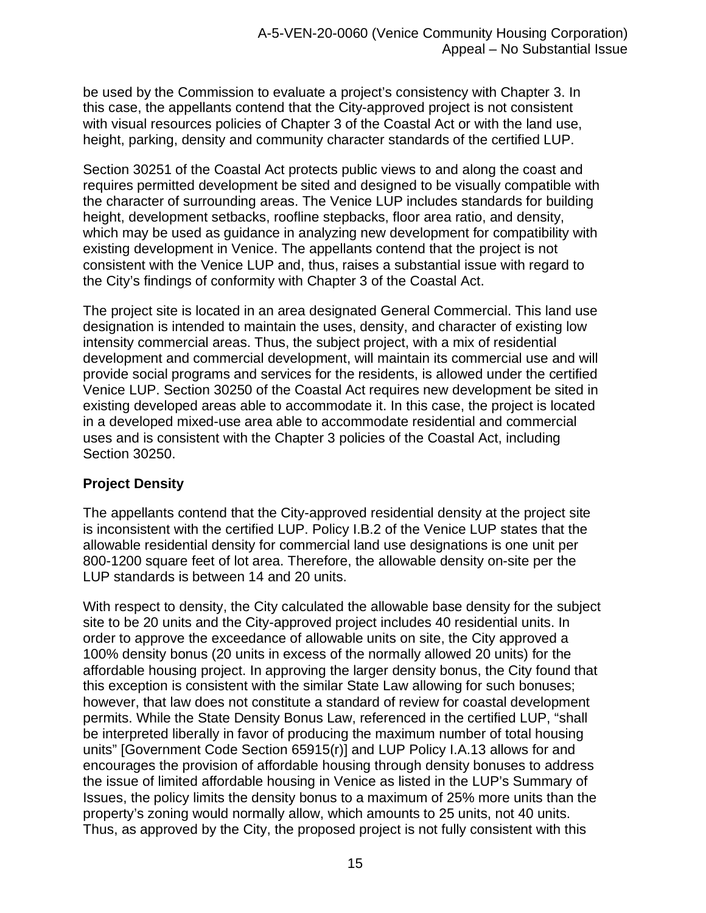be used by the Commission to evaluate a project's consistency with Chapter 3. In this case, the appellants contend that the City-approved project is not consistent with visual resources policies of Chapter 3 of the Coastal Act or with the land use, height, parking, density and community character standards of the certified LUP.

Section 30251 of the Coastal Act protects public views to and along the coast and requires permitted development be sited and designed to be visually compatible with the character of surrounding areas. The Venice LUP includes standards for building height, development setbacks, roofline stepbacks, floor area ratio, and density, which may be used as guidance in analyzing new development for compatibility with existing development in Venice. The appellants contend that the project is not consistent with the Venice LUP and, thus, raises a substantial issue with regard to the City's findings of conformity with Chapter 3 of the Coastal Act.

The project site is located in an area designated General Commercial. This land use designation is intended to maintain the uses, density, and character of existing low intensity commercial areas. Thus, the subject project, with a mix of residential development and commercial development, will maintain its commercial use and will provide social programs and services for the residents, is allowed under the certified Venice LUP. Section 30250 of the Coastal Act requires new development be sited in existing developed areas able to accommodate it. In this case, the project is located in a developed mixed-use area able to accommodate residential and commercial uses and is consistent with the Chapter 3 policies of the Coastal Act, including Section 30250.

## **Project Density**

The appellants contend that the City-approved residential density at the project site is inconsistent with the certified LUP. Policy I.B.2 of the Venice LUP states that the allowable residential density for commercial land use designations is one unit per 800-1200 square feet of lot area. Therefore, the allowable density on-site per the LUP standards is between 14 and 20 units.

With respect to density, the City calculated the allowable base density for the subject site to be 20 units and the City-approved project includes 40 residential units. In order to approve the exceedance of allowable units on site, the City approved a 100% density bonus (20 units in excess of the normally allowed 20 units) for the affordable housing project. In approving the larger density bonus, the City found that this exception is consistent with the similar State Law allowing for such bonuses; however, that law does not constitute a standard of review for coastal development permits. While the State Density Bonus Law, referenced in the certified LUP, "shall be interpreted liberally in favor of producing the maximum number of total housing units" [Government Code Section 65915(r)] and LUP Policy I.A.13 allows for and encourages the provision of affordable housing through density bonuses to address the issue of limited affordable housing in Venice as listed in the LUP's Summary of Issues, the policy limits the density bonus to a maximum of 25% more units than the property's zoning would normally allow, which amounts to 25 units, not 40 units. Thus, as approved by the City, the proposed project is not fully consistent with this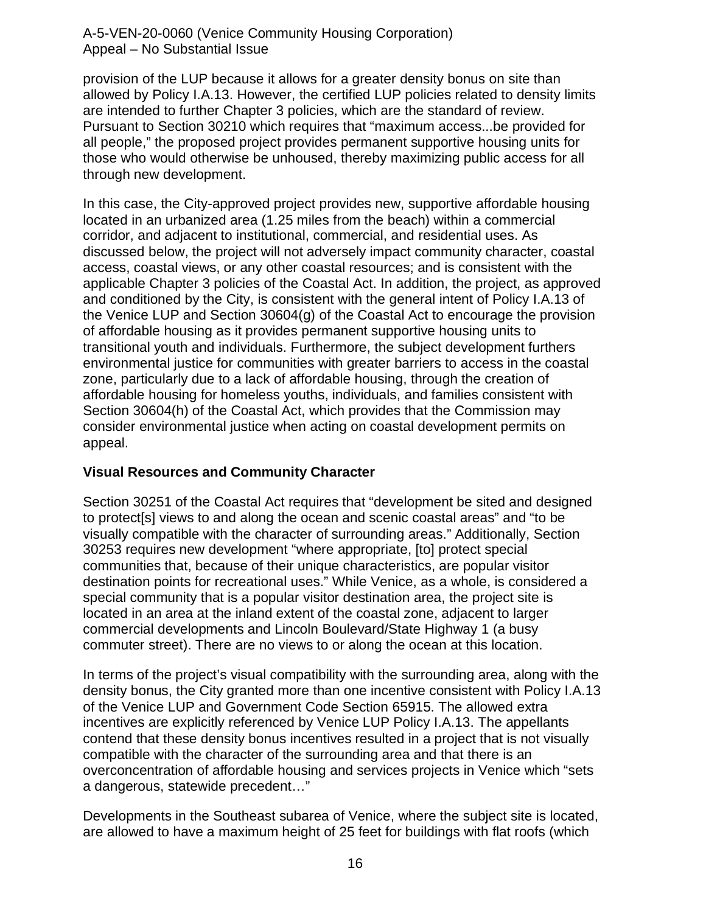provision of the LUP because it allows for a greater density bonus on site than allowed by Policy I.A.13. However, the certified LUP policies related to density limits are intended to further Chapter 3 policies, which are the standard of review. Pursuant to Section 30210 which requires that "maximum access...be provided for all people," the proposed project provides permanent supportive housing units for those who would otherwise be unhoused, thereby maximizing public access for all through new development.

In this case, the City-approved project provides new, supportive affordable housing located in an urbanized area (1.25 miles from the beach) within a commercial corridor, and adjacent to institutional, commercial, and residential uses. As discussed below, the project will not adversely impact community character, coastal access, coastal views, or any other coastal resources; and is consistent with the applicable Chapter 3 policies of the Coastal Act. In addition, the project, as approved and conditioned by the City, is consistent with the general intent of Policy I.A.13 of the Venice LUP and Section 30604(g) of the Coastal Act to encourage the provision of affordable housing as it provides permanent supportive housing units to transitional youth and individuals. Furthermore, the subject development furthers environmental justice for communities with greater barriers to access in the coastal zone, particularly due to a lack of affordable housing, through the creation of affordable housing for homeless youths, individuals, and families consistent with Section 30604(h) of the Coastal Act, which provides that the Commission may consider environmental justice when acting on coastal development permits on appeal.

## **Visual Resources and Community Character**

Section 30251 of the Coastal Act requires that "development be sited and designed to protect[s] views to and along the ocean and scenic coastal areas" and "to be visually compatible with the character of surrounding areas." Additionally, Section 30253 requires new development "where appropriate, [to] protect special communities that, because of their unique characteristics, are popular visitor destination points for recreational uses." While Venice, as a whole, is considered a special community that is a popular visitor destination area, the project site is located in an area at the inland extent of the coastal zone, adjacent to larger commercial developments and Lincoln Boulevard/State Highway 1 (a busy commuter street). There are no views to or along the ocean at this location.

In terms of the project's visual compatibility with the surrounding area, along with the density bonus, the City granted more than one incentive consistent with Policy I.A.13 of the Venice LUP and Government Code Section 65915. The allowed extra incentives are explicitly referenced by Venice LUP Policy I.A.13. The appellants contend that these density bonus incentives resulted in a project that is not visually compatible with the character of the surrounding area and that there is an overconcentration of affordable housing and services projects in Venice which "sets a dangerous, statewide precedent…"

Developments in the Southeast subarea of Venice, where the subject site is located, are allowed to have a maximum height of 25 feet for buildings with flat roofs (which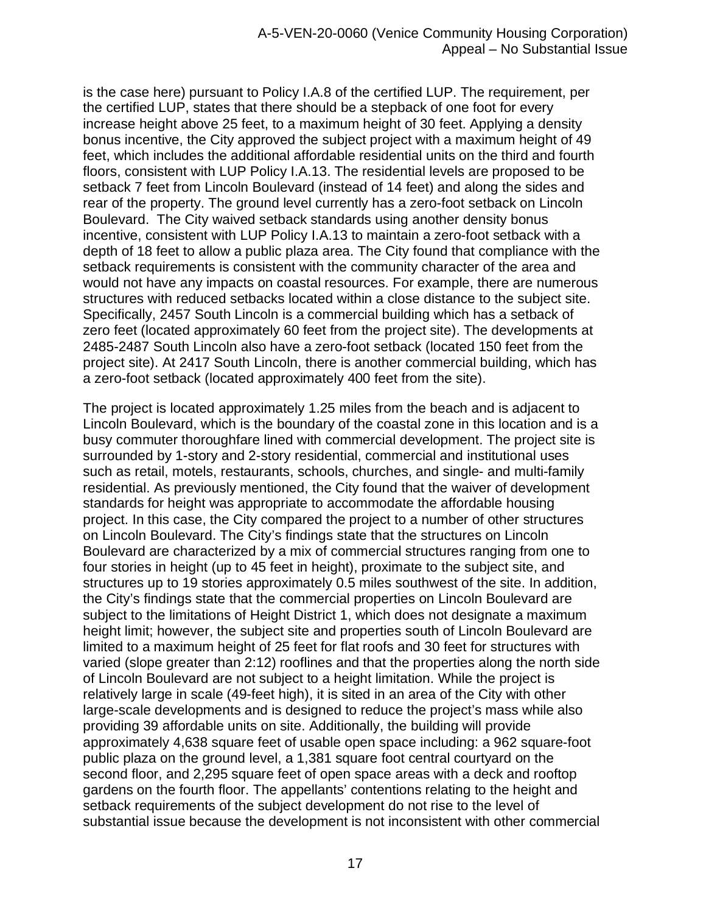is the case here) pursuant to Policy I.A.8 of the certified LUP. The requirement, per the certified LUP, states that there should be a stepback of one foot for every increase height above 25 feet, to a maximum height of 30 feet. Applying a density bonus incentive, the City approved the subject project with a maximum height of 49 feet, which includes the additional affordable residential units on the third and fourth floors, consistent with LUP Policy I.A.13. The residential levels are proposed to be setback 7 feet from Lincoln Boulevard (instead of 14 feet) and along the sides and rear of the property. The ground level currently has a zero-foot setback on Lincoln Boulevard. The City waived setback standards using another density bonus incentive, consistent with LUP Policy I.A.13 to maintain a zero-foot setback with a depth of 18 feet to allow a public plaza area. The City found that compliance with the setback requirements is consistent with the community character of the area and would not have any impacts on coastal resources. For example, there are numerous structures with reduced setbacks located within a close distance to the subject site. Specifically, 2457 South Lincoln is a commercial building which has a setback of zero feet (located approximately 60 feet from the project site). The developments at 2485-2487 South Lincoln also have a zero-foot setback (located 150 feet from the project site). At 2417 South Lincoln, there is another commercial building, which has a zero-foot setback (located approximately 400 feet from the site).

The project is located approximately 1.25 miles from the beach and is adjacent to Lincoln Boulevard, which is the boundary of the coastal zone in this location and is a busy commuter thoroughfare lined with commercial development. The project site is surrounded by 1-story and 2-story residential, commercial and institutional uses such as retail, motels, restaurants, schools, churches, and single- and multi-family residential. As previously mentioned, the City found that the waiver of development standards for height was appropriate to accommodate the affordable housing project. In this case, the City compared the project to a number of other structures on Lincoln Boulevard. The City's findings state that the structures on Lincoln Boulevard are characterized by a mix of commercial structures ranging from one to four stories in height (up to 45 feet in height), proximate to the subject site, and structures up to 19 stories approximately 0.5 miles southwest of the site. In addition, the City's findings state that the commercial properties on Lincoln Boulevard are subject to the limitations of Height District 1, which does not designate a maximum height limit; however, the subject site and properties south of Lincoln Boulevard are limited to a maximum height of 25 feet for flat roofs and 30 feet for structures with varied (slope greater than 2:12) rooflines and that the properties along the north side of Lincoln Boulevard are not subject to a height limitation. While the project is relatively large in scale (49-feet high), it is sited in an area of the City with other large-scale developments and is designed to reduce the project's mass while also providing 39 affordable units on site. Additionally, the building will provide approximately 4,638 square feet of usable open space including: a 962 square-foot public plaza on the ground level, a 1,381 square foot central courtyard on the second floor, and 2,295 square feet of open space areas with a deck and rooftop gardens on the fourth floor. The appellants' contentions relating to the height and setback requirements of the subject development do not rise to the level of substantial issue because the development is not inconsistent with other commercial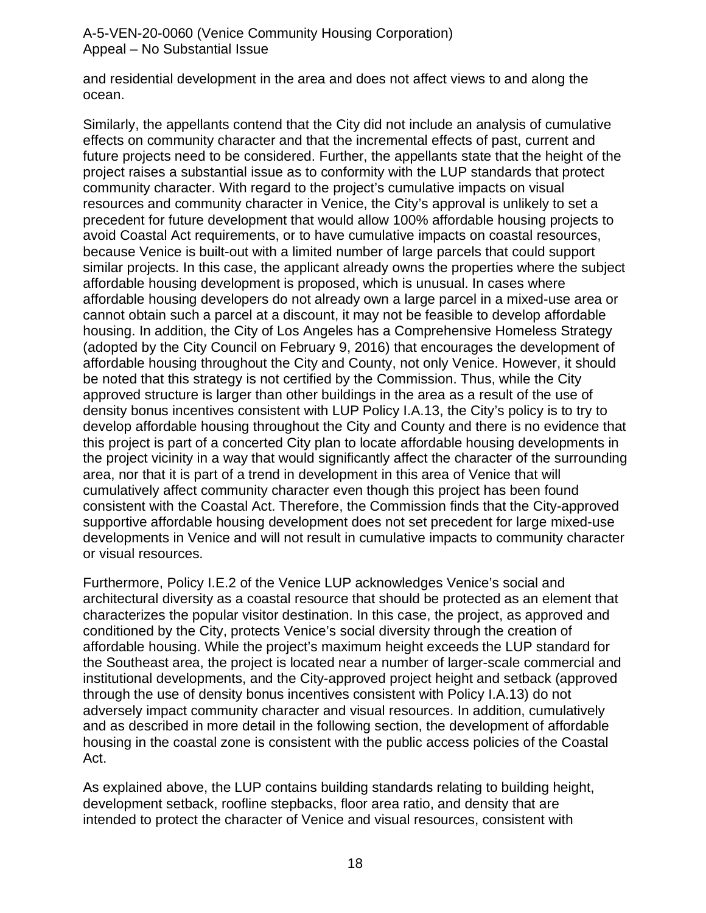and residential development in the area and does not affect views to and along the ocean.

Similarly, the appellants contend that the City did not include an analysis of cumulative effects on community character and that the incremental effects of past, current and future projects need to be considered. Further, the appellants state that the height of the project raises a substantial issue as to conformity with the LUP standards that protect community character. With regard to the project's cumulative impacts on visual resources and community character in Venice, the City's approval is unlikely to set a precedent for future development that would allow 100% affordable housing projects to avoid Coastal Act requirements, or to have cumulative impacts on coastal resources, because Venice is built-out with a limited number of large parcels that could support similar projects. In this case, the applicant already owns the properties where the subject affordable housing development is proposed, which is unusual. In cases where affordable housing developers do not already own a large parcel in a mixed-use area or cannot obtain such a parcel at a discount, it may not be feasible to develop affordable housing. In addition, the City of Los Angeles has a Comprehensive Homeless Strategy (adopted by the City Council on February 9, 2016) that encourages the development of affordable housing throughout the City and County, not only Venice. However, it should be noted that this strategy is not certified by the Commission. Thus, while the City approved structure is larger than other buildings in the area as a result of the use of density bonus incentives consistent with LUP Policy I.A.13, the City's policy is to try to develop affordable housing throughout the City and County and there is no evidence that this project is part of a concerted City plan to locate affordable housing developments in the project vicinity in a way that would significantly affect the character of the surrounding area, nor that it is part of a trend in development in this area of Venice that will cumulatively affect community character even though this project has been found consistent with the Coastal Act. Therefore, the Commission finds that the City-approved supportive affordable housing development does not set precedent for large mixed-use developments in Venice and will not result in cumulative impacts to community character or visual resources.

Furthermore, Policy I.E.2 of the Venice LUP acknowledges Venice's social and architectural diversity as a coastal resource that should be protected as an element that characterizes the popular visitor destination. In this case, the project, as approved and conditioned by the City, protects Venice's social diversity through the creation of affordable housing. While the project's maximum height exceeds the LUP standard for the Southeast area, the project is located near a number of larger-scale commercial and institutional developments, and the City-approved project height and setback (approved through the use of density bonus incentives consistent with Policy I.A.13) do not adversely impact community character and visual resources. In addition, cumulatively and as described in more detail in the following section, the development of affordable housing in the coastal zone is consistent with the public access policies of the Coastal Act.

As explained above, the LUP contains building standards relating to building height, development setback, roofline stepbacks, floor area ratio, and density that are intended to protect the character of Venice and visual resources, consistent with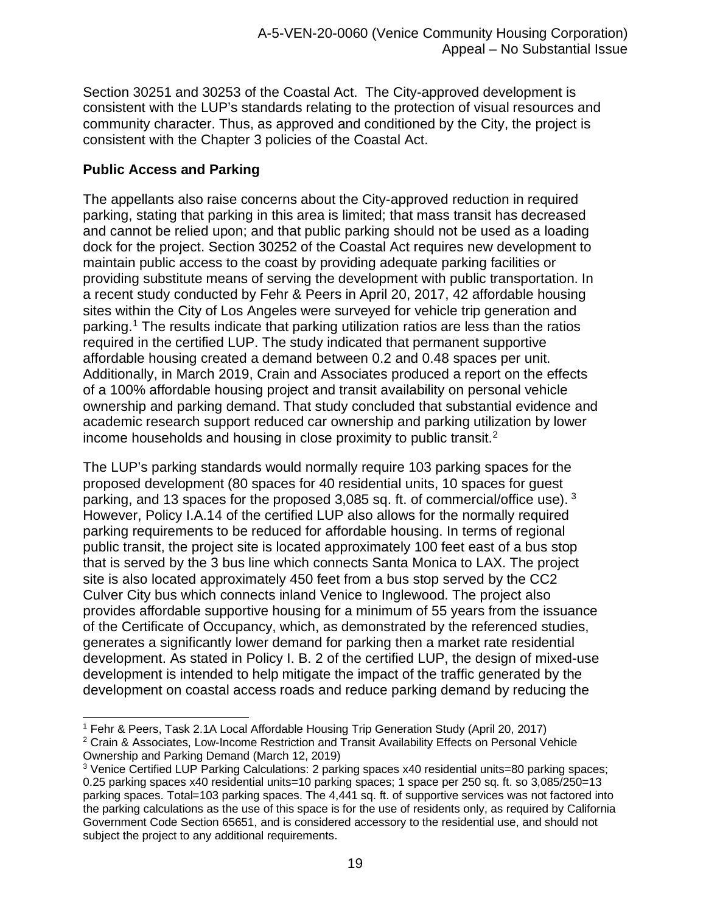Section 30251 and 30253 of the Coastal Act. The City-approved development is consistent with the LUP's standards relating to the protection of visual resources and community character. Thus, as approved and conditioned by the City, the project is consistent with the Chapter 3 policies of the Coastal Act.

## **Public Access and Parking**

The appellants also raise concerns about the City-approved reduction in required parking, stating that parking in this area is limited; that mass transit has decreased and cannot be relied upon; and that public parking should not be used as a loading dock for the project. Section 30252 of the Coastal Act requires new development to maintain public access to the coast by providing adequate parking facilities or providing substitute means of serving the development with public transportation. In a recent study conducted by Fehr & Peers in April 20, 2017, 42 affordable housing sites within the City of Los Angeles were surveyed for vehicle trip generation and parking.[1](#page-18-0) The results indicate that parking utilization ratios are less than the ratios required in the certified LUP. The study indicated that permanent supportive affordable housing created a demand between 0.2 and 0.48 spaces per unit. Additionally, in March 2019, Crain and Associates produced a report on the effects of a 100% affordable housing project and transit availability on personal vehicle ownership and parking demand. That study concluded that substantial evidence and academic research support reduced car ownership and parking utilization by lower income households and housing in close proximity to public transit[.2](#page-18-1)

The LUP's parking standards would normally require 103 parking spaces for the proposed development (80 spaces for 40 residential units, 10 spaces for guest parking, and 13 spaces for the proposed 3,085 sq. ft. of commercial/office use). [3](#page-18-2) However, Policy I.A.14 of the certified LUP also allows for the normally required parking requirements to be reduced for affordable housing. In terms of regional public transit, the project site is located approximately 100 feet east of a bus stop that is served by the 3 bus line which connects Santa Monica to LAX. The project site is also located approximately 450 feet from a bus stop served by the CC2 Culver City bus which connects inland Venice to Inglewood. The project also provides affordable supportive housing for a minimum of 55 years from the issuance of the Certificate of Occupancy, which, as demonstrated by the referenced studies, generates a significantly lower demand for parking then a market rate residential development. As stated in Policy I. B. 2 of the certified LUP, the design of mixed-use development is intended to help mitigate the impact of the traffic generated by the development on coastal access roads and reduce parking demand by reducing the

<span id="page-18-0"></span><sup>1</sup> Fehr & Peers, Task 2.1A Local Affordable Housing Trip Generation Study (April 20, 2017)

<span id="page-18-1"></span><sup>2</sup> Crain & Associates, Low-Income Restriction and Transit Availability Effects on Personal Vehicle Ownership and Parking Demand (March 12, 2019)

<span id="page-18-2"></span><sup>3</sup> Venice Certified LUP Parking Calculations: 2 parking spaces x40 residential units=80 parking spaces; 0.25 parking spaces x40 residential units=10 parking spaces; 1 space per 250 sq. ft. so 3,085/250=13 parking spaces. Total=103 parking spaces. The 4,441 sq. ft. of supportive services was not factored into the parking calculations as the use of this space is for the use of residents only, as required by California Government Code Section 65651, and is considered accessory to the residential use, and should not subject the project to any additional requirements.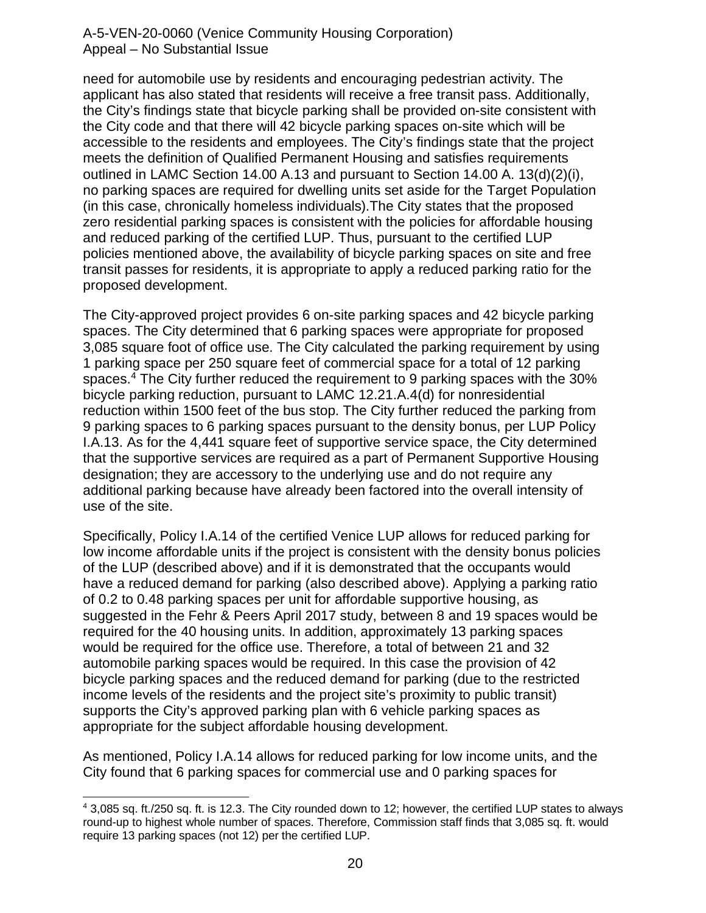need for automobile use by residents and encouraging pedestrian activity. The applicant has also stated that residents will receive a free transit pass. Additionally, the City's findings state that bicycle parking shall be provided on-site consistent with the City code and that there will 42 bicycle parking spaces on-site which will be accessible to the residents and employees. The City's findings state that the project meets the definition of Qualified Permanent Housing and satisfies requirements outlined in LAMC Section 14.00 A.13 and pursuant to Section 14.00 A. 13(d)(2)(i), no parking spaces are required for dwelling units set aside for the Target Population (in this case, chronically homeless individuals).The City states that the proposed zero residential parking spaces is consistent with the policies for affordable housing and reduced parking of the certified LUP. Thus, pursuant to the certified LUP policies mentioned above, the availability of bicycle parking spaces on site and free transit passes for residents, it is appropriate to apply a reduced parking ratio for the proposed development.

The City-approved project provides 6 on-site parking spaces and 42 bicycle parking spaces. The City determined that 6 parking spaces were appropriate for proposed 3,085 square foot of office use. The City calculated the parking requirement by using 1 parking space per 250 square feet of commercial space for a total of 12 parking spaces.[4](#page-19-0) The City further reduced the requirement to 9 parking spaces with the 30% bicycle parking reduction, pursuant to LAMC 12.21.A.4(d) for nonresidential reduction within 1500 feet of the bus stop. The City further reduced the parking from 9 parking spaces to 6 parking spaces pursuant to the density bonus, per LUP Policy I.A.13. As for the 4,441 square feet of supportive service space, the City determined that the supportive services are required as a part of Permanent Supportive Housing designation; they are accessory to the underlying use and do not require any additional parking because have already been factored into the overall intensity of use of the site.

Specifically, Policy I.A.14 of the certified Venice LUP allows for reduced parking for low income affordable units if the project is consistent with the density bonus policies of the LUP (described above) and if it is demonstrated that the occupants would have a reduced demand for parking (also described above). Applying a parking ratio of 0.2 to 0.48 parking spaces per unit for affordable supportive housing, as suggested in the Fehr & Peers April 2017 study, between 8 and 19 spaces would be required for the 40 housing units. In addition, approximately 13 parking spaces would be required for the office use. Therefore, a total of between 21 and 32 automobile parking spaces would be required. In this case the provision of 42 bicycle parking spaces and the reduced demand for parking (due to the restricted income levels of the residents and the project site's proximity to public transit) supports the City's approved parking plan with 6 vehicle parking spaces as appropriate for the subject affordable housing development.

As mentioned, Policy I.A.14 allows for reduced parking for low income units, and the City found that 6 parking spaces for commercial use and 0 parking spaces for

<span id="page-19-0"></span><sup>4</sup> 3,085 sq. ft./250 sq. ft. is 12.3. The City rounded down to 12; however, the certified LUP states to always round-up to highest whole number of spaces. Therefore, Commission staff finds that 3,085 sq. ft. would require 13 parking spaces (not 12) per the certified LUP.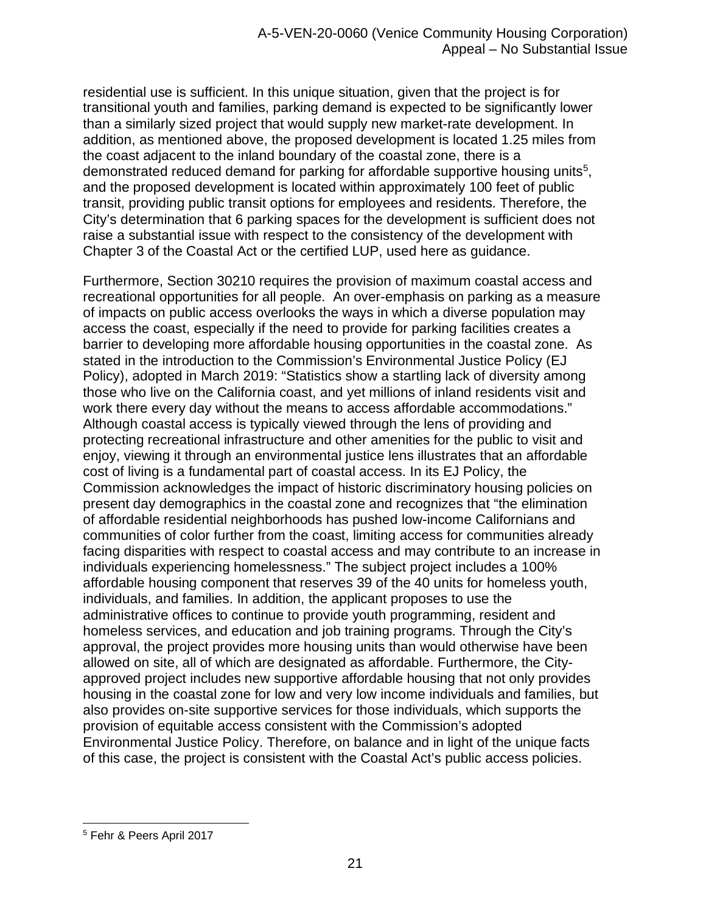residential use is sufficient. In this unique situation, given that the project is for transitional youth and families, parking demand is expected to be significantly lower than a similarly sized project that would supply new market-rate development. In addition, as mentioned above, the proposed development is located 1.25 miles from the coast adjacent to the inland boundary of the coastal zone, there is a demonstrated reduced demand for parking for affordable supportive housing units<sup>[5](#page-20-0)</sup>, and the proposed development is located within approximately 100 feet of public transit, providing public transit options for employees and residents. Therefore, the City's determination that 6 parking spaces for the development is sufficient does not raise a substantial issue with respect to the consistency of the development with Chapter 3 of the Coastal Act or the certified LUP, used here as guidance.

Furthermore, Section 30210 requires the provision of maximum coastal access and recreational opportunities for all people. An over-emphasis on parking as a measure of impacts on public access overlooks the ways in which a diverse population may access the coast, especially if the need to provide for parking facilities creates a barrier to developing more affordable housing opportunities in the coastal zone. As stated in the introduction to the Commission's Environmental Justice Policy (EJ Policy), adopted in March 2019: "Statistics show a startling lack of diversity among those who live on the California coast, and yet millions of inland residents visit and work there every day without the means to access affordable accommodations." Although coastal access is typically viewed through the lens of providing and protecting recreational infrastructure and other amenities for the public to visit and enjoy, viewing it through an environmental justice lens illustrates that an affordable cost of living is a fundamental part of coastal access. In its EJ Policy, the Commission acknowledges the impact of historic discriminatory housing policies on present day demographics in the coastal zone and recognizes that "the elimination of affordable residential neighborhoods has pushed low-income Californians and communities of color further from the coast, limiting access for communities already facing disparities with respect to coastal access and may contribute to an increase in individuals experiencing homelessness." The subject project includes a 100% affordable housing component that reserves 39 of the 40 units for homeless youth, individuals, and families. In addition, the applicant proposes to use the administrative offices to continue to provide youth programming, resident and homeless services, and education and job training programs. Through the City's approval, the project provides more housing units than would otherwise have been allowed on site, all of which are designated as affordable. Furthermore, the Cityapproved project includes new supportive affordable housing that not only provides housing in the coastal zone for low and very low income individuals and families, but also provides on-site supportive services for those individuals, which supports the provision of equitable access consistent with the Commission's adopted Environmental Justice Policy. Therefore, on balance and in light of the unique facts of this case, the project is consistent with the Coastal Act's public access policies.

<span id="page-20-0"></span><sup>5</sup> Fehr & Peers April 2017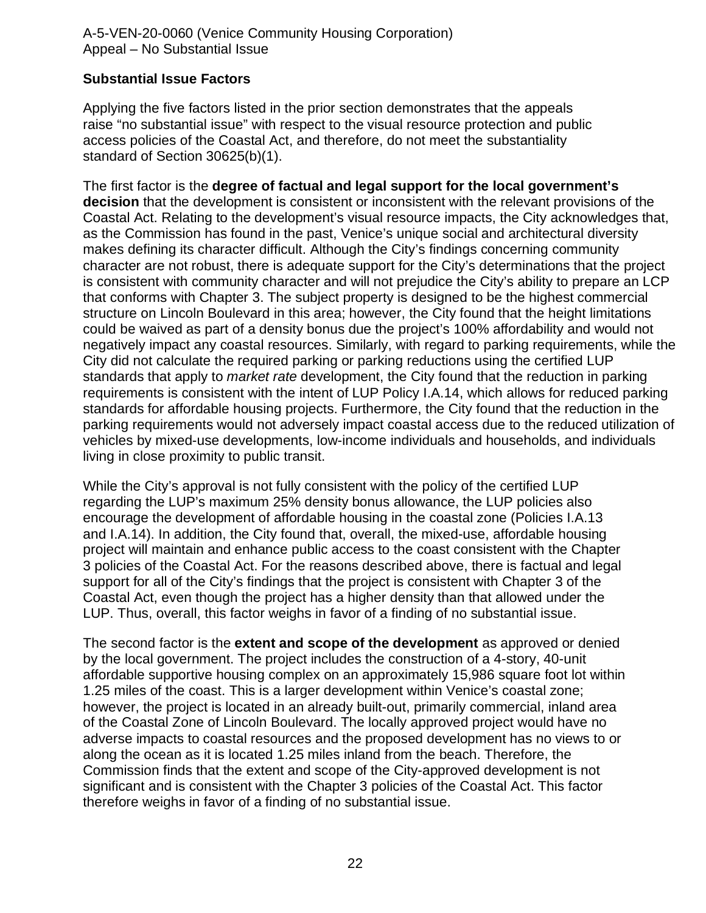#### **Substantial Issue Factors**

Applying the five factors listed in the prior section demonstrates that the appeals raise "no substantial issue" with respect to the visual resource protection and public access policies of the Coastal Act, and therefore, do not meet the substantiality standard of Section 30625(b)(1).

The first factor is the **degree of factual and legal support for the local government's decision** that the development is consistent or inconsistent with the relevant provisions of the Coastal Act. Relating to the development's visual resource impacts, the City acknowledges that, as the Commission has found in the past, Venice's unique social and architectural diversity makes defining its character difficult. Although the City's findings concerning community character are not robust, there is adequate support for the City's determinations that the project is consistent with community character and will not prejudice the City's ability to prepare an LCP that conforms with Chapter 3. The subject property is designed to be the highest commercial structure on Lincoln Boulevard in this area; however, the City found that the height limitations could be waived as part of a density bonus due the project's 100% affordability and would not negatively impact any coastal resources. Similarly, with regard to parking requirements, while the City did not calculate the required parking or parking reductions using the certified LUP standards that apply to *market rate* development, the City found that the reduction in parking requirements is consistent with the intent of LUP Policy I.A.14, which allows for reduced parking standards for affordable housing projects. Furthermore, the City found that the reduction in the parking requirements would not adversely impact coastal access due to the reduced utilization of vehicles by mixed-use developments, low-income individuals and households, and individuals living in close proximity to public transit.

While the City's approval is not fully consistent with the policy of the certified LUP regarding the LUP's maximum 25% density bonus allowance, the LUP policies also encourage the development of affordable housing in the coastal zone (Policies I.A.13 and I.A.14). In addition, the City found that, overall, the mixed-use, affordable housing project will maintain and enhance public access to the coast consistent with the Chapter 3 policies of the Coastal Act. For the reasons described above, there is factual and legal support for all of the City's findings that the project is consistent with Chapter 3 of the Coastal Act, even though the project has a higher density than that allowed under the LUP. Thus, overall, this factor weighs in favor of a finding of no substantial issue.

The second factor is the **extent and scope of the development** as approved or denied by the local government. The project includes the construction of a 4-story, 40-unit affordable supportive housing complex on an approximately 15,986 square foot lot within 1.25 miles of the coast. This is a larger development within Venice's coastal zone; however, the project is located in an already built-out, primarily commercial, inland area of the Coastal Zone of Lincoln Boulevard. The locally approved project would have no adverse impacts to coastal resources and the proposed development has no views to or along the ocean as it is located 1.25 miles inland from the beach. Therefore, the Commission finds that the extent and scope of the City-approved development is not significant and is consistent with the Chapter 3 policies of the Coastal Act. This factor therefore weighs in favor of a finding of no substantial issue.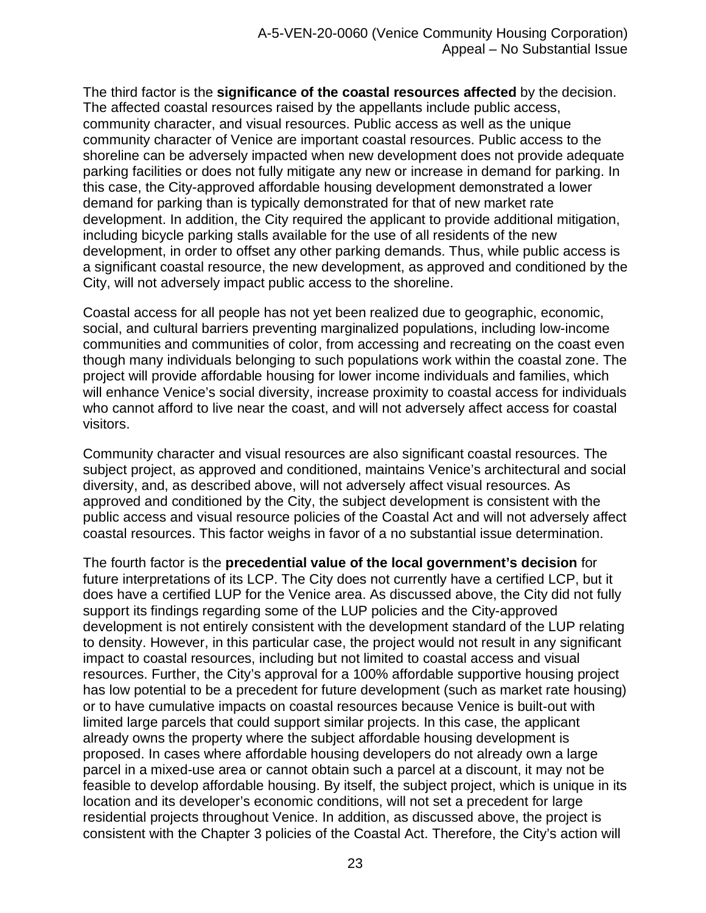The third factor is the **significance of the coastal resources affected** by the decision. The affected coastal resources raised by the appellants include public access, community character, and visual resources. Public access as well as the unique community character of Venice are important coastal resources. Public access to the shoreline can be adversely impacted when new development does not provide adequate parking facilities or does not fully mitigate any new or increase in demand for parking. In this case, the City-approved affordable housing development demonstrated a lower demand for parking than is typically demonstrated for that of new market rate development. In addition, the City required the applicant to provide additional mitigation, including bicycle parking stalls available for the use of all residents of the new development, in order to offset any other parking demands. Thus, while public access is a significant coastal resource, the new development, as approved and conditioned by the City, will not adversely impact public access to the shoreline.

Coastal access for all people has not yet been realized due to geographic, economic, social, and cultural barriers preventing marginalized populations, including low-income communities and communities of color, from accessing and recreating on the coast even though many individuals belonging to such populations work within the coastal zone. The project will provide affordable housing for lower income individuals and families, which will enhance Venice's social diversity, increase proximity to coastal access for individuals who cannot afford to live near the coast, and will not adversely affect access for coastal visitors.

Community character and visual resources are also significant coastal resources. The subject project, as approved and conditioned, maintains Venice's architectural and social diversity, and, as described above, will not adversely affect visual resources. As approved and conditioned by the City, the subject development is consistent with the public access and visual resource policies of the Coastal Act and will not adversely affect coastal resources. This factor weighs in favor of a no substantial issue determination.

The fourth factor is the **precedential value of the local government's decision** for future interpretations of its LCP. The City does not currently have a certified LCP, but it does have a certified LUP for the Venice area. As discussed above, the City did not fully support its findings regarding some of the LUP policies and the City-approved development is not entirely consistent with the development standard of the LUP relating to density. However, in this particular case, the project would not result in any significant impact to coastal resources, including but not limited to coastal access and visual resources. Further, the City's approval for a 100% affordable supportive housing project has low potential to be a precedent for future development (such as market rate housing) or to have cumulative impacts on coastal resources because Venice is built-out with limited large parcels that could support similar projects. In this case, the applicant already owns the property where the subject affordable housing development is proposed. In cases where affordable housing developers do not already own a large parcel in a mixed-use area or cannot obtain such a parcel at a discount, it may not be feasible to develop affordable housing. By itself, the subject project, which is unique in its location and its developer's economic conditions, will not set a precedent for large residential projects throughout Venice. In addition, as discussed above, the project is consistent with the Chapter 3 policies of the Coastal Act. Therefore, the City's action will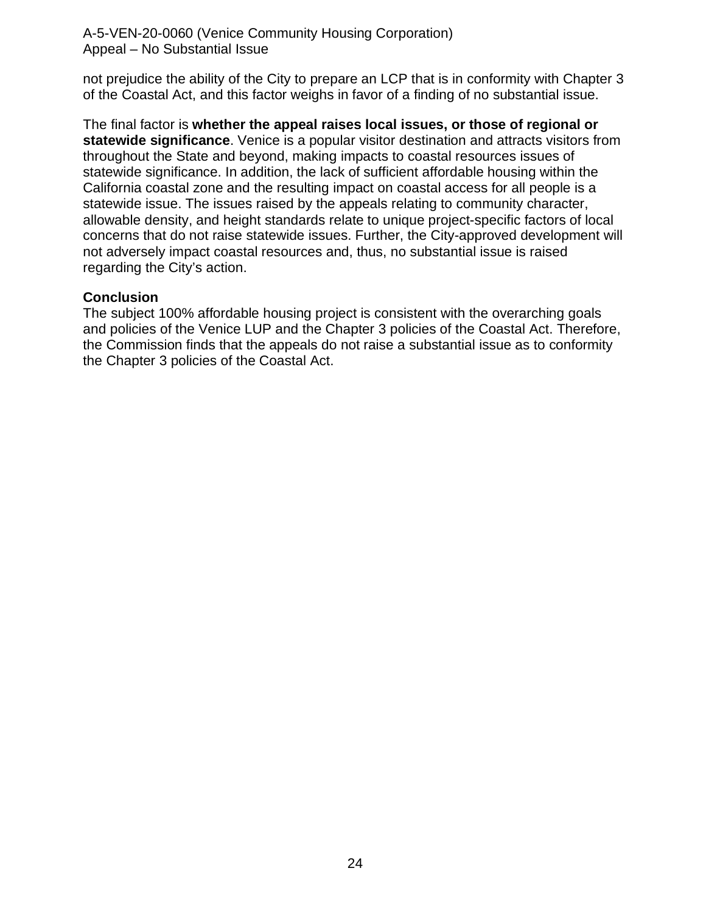not prejudice the ability of the City to prepare an LCP that is in conformity with Chapter 3 of the Coastal Act, and this factor weighs in favor of a finding of no substantial issue.

The final factor is **whether the appeal raises local issues, or those of regional or statewide significance**. Venice is a popular visitor destination and attracts visitors from throughout the State and beyond, making impacts to coastal resources issues of statewide significance. In addition, the lack of sufficient affordable housing within the California coastal zone and the resulting impact on coastal access for all people is a statewide issue. The issues raised by the appeals relating to community character, allowable density, and height standards relate to unique project-specific factors of local concerns that do not raise statewide issues. Further, the City-approved development will not adversely impact coastal resources and, thus, no substantial issue is raised regarding the City's action.

#### **Conclusion**

The subject 100% affordable housing project is consistent with the overarching goals and policies of the Venice LUP and the Chapter 3 policies of the Coastal Act. Therefore, the Commission finds that the appeals do not raise a substantial issue as to conformity the Chapter 3 policies of the Coastal Act.